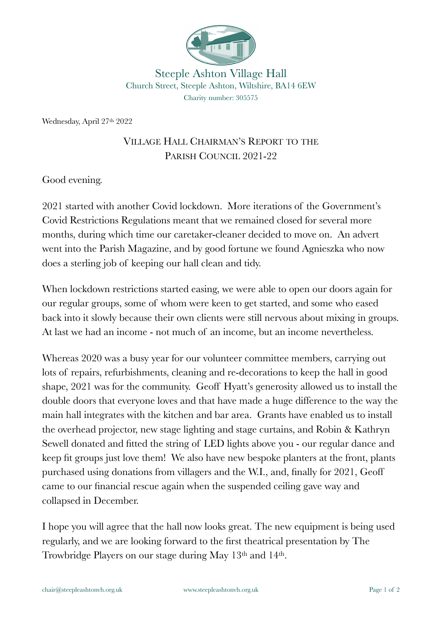

Steeple Ashton Village Hall Church Street, Steeple Ashton, Wiltshire, BA14 6EW Charity number: 305575

Wednesday, April 27th 2022

## VILLAGE HALL CHAIRMAN'S REPORT TO THE PARISH COUNCIL 2021-22

Good evening.

2021 started with another Covid lockdown. More iterations of the Government's Covid Restrictions Regulations meant that we remained closed for several more months, during which time our caretaker-cleaner decided to move on. An advert went into the Parish Magazine, and by good fortune we found Agnieszka who now does a sterling job of keeping our hall clean and tidy.

When lockdown restrictions started easing, we were able to open our doors again for our regular groups, some of whom were keen to get started, and some who eased back into it slowly because their own clients were still nervous about mixing in groups. At last we had an income - not much of an income, but an income nevertheless.

Whereas 2020 was a busy year for our volunteer committee members, carrying out lots of repairs, refurbishments, cleaning and re-decorations to keep the hall in good shape, 2021 was for the community. Geoff Hyatt's generosity allowed us to install the double doors that everyone loves and that have made a huge difference to the way the main hall integrates with the kitchen and bar area. Grants have enabled us to install the overhead projector, new stage lighting and stage curtains, and Robin & Kathryn Sewell donated and fitted the string of LED lights above you - our regular dance and keep fit groups just love them! We also have new bespoke planters at the front, plants purchased using donations from villagers and the W.I., and, finally for 2021, Geoff came to our financial rescue again when the suspended ceiling gave way and collapsed in December.

I hope you will agree that the hall now looks great. The new equipment is being used regularly, and we are looking forward to the first theatrical presentation by The Trowbridge Players on our stage during May 13th and 14th.